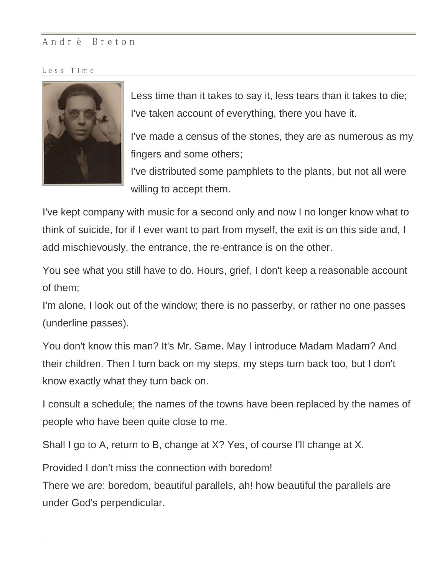## Andrè Breton

Less Time



Less time than it takes to say it, less tears than it takes to die; I've taken account of everything, there you have it.

I've made a census of the stones, they are as numerous as my fingers and some others;

I've distributed some pamphlets to the plants, but not all were willing to accept them.

I've kept company with music for a second only and now I no longer know what to think of suicide, for if I ever want to part from myself, the exit is on this side and, I add mischievously, the entrance, the re-entrance is on the other.

You see what you still have to do. Hours, grief, I don't keep a reasonable account of them;

I'm alone, I look out of the window; there is no passerby, or rather no one passes (underline passes).

You don't know this man? It's Mr. Same. May I introduce Madam Madam? And their children. Then I turn back on my steps, my steps turn back too, but I don't know exactly what they turn back on.

I consult a schedule; the names of the towns have been replaced by the names of people who have been quite close to me.

Shall I go to A, return to B, change at X? Yes, of course I'll change at X.

Provided I don't miss the connection with boredom!

There we are: boredom, beautiful parallels, ah! how beautiful the parallels are under God's perpendicular.